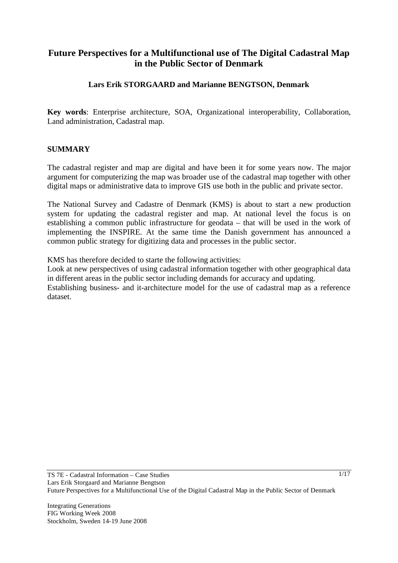# **Future Perspectives for a Multifunctional use of The Digital Cadastral Map in the Public Sector of Denmark**

# **Lars Erik STORGAARD and Marianne BENGTSON, Denmark**

**Key words**: Enterprise architecture, SOA, Organizational interoperability, Collaboration, Land administration, Cadastral map.

## **SUMMARY**

The cadastral register and map are digital and have been it for some years now. The major argument for computerizing the map was broader use of the cadastral map together with other digital maps or administrative data to improve GIS use both in the public and private sector.

The National Survey and Cadastre of Denmark (KMS) is about to start a new production system for updating the cadastral register and map. At national level the focus is on establishing a common public infrastructure for geodata – that will be used in the work of implementing the INSPIRE. At the same time the Danish government has announced a common public strategy for digitizing data and processes in the public sector.

KMS has therefore decided to starte the following activities:

Look at new perspectives of using cadastral information together with other geographical data in different areas in the public sector including demands for accuracy and updating. Establishing business- and it-architecture model for the use of cadastral map as a reference dataset.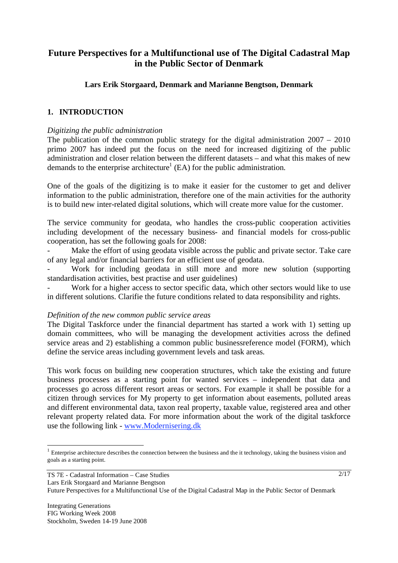# **Future Perspectives for a Multifunctional use of The Digital Cadastral Map in the Public Sector of Denmark**

## **Lars Erik Storgaard, Denmark and Marianne Bengtson, Denmark**

## **1. INTRODUCTION**

#### *Digitizing the public administration*

The publication of the common public strategy for the digital administration  $2007 - 2010$ primo 2007 has indeed put the focus on the need for increased digitizing of the public administration and closer relation between the different datasets – and what this makes of new demands to the enterprise architecture<sup>1</sup> (EA) for the public administration.

One of the goals of the digitizing is to make it easier for the customer to get and deliver information to the public administration, therefore one of the main activities for the authority is to build new inter-related digital solutions, which will create more value for the customer.

The service community for geodata, who handles the cross-public cooperation activities including development of the necessary business- and financial models for cross-public cooperation, has set the following goals for 2008:

Make the effort of using geodata visible across the public and private sector. Take care of any legal and/or financial barriers for an efficient use of geodata.

Work for including geodata in still more and more new solution (supporting standardisation activities, best practise and user guidelines)

Work for a higher access to sector specific data, which other sectors would like to use in different solutions. Clarifie the future conditions related to data responsibility and rights.

#### *Definition of the new common public service areas*

The Digital Taskforce under the financial department has started a work with 1) setting up domain committees, who will be managing the development activities across the defined service areas and 2) establishing a common public businessreference model (FORM), which define the service areas including government levels and task areas.

This work focus on building new cooperation structures, which take the existing and future business processes as a starting point for wanted services – independent that data and processes go across different resort areas or sectors. For example it shall be possible for a citizen through services for My property to get information about easements, polluted areas and different environmental data, taxon real property, taxable value, registered area and other relevant property related data. For more information about the work of the digital taskforce use the following link - www.Modernisering.dk

l

 $1$  Enterprise architecture describes the connection between the business and the it technology, taking the business vision and goals as a starting point.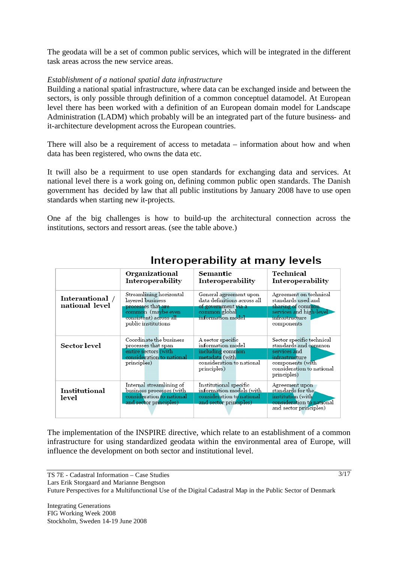The geodata will be a set of common public services, which will be integrated in the different task areas across the new service areas.

## *Establishment of a national spatial data infrastructure*

Building a national spatial infrastructure, where data can be exchanged inside and between the sectors, is only possible through definition of a common conceptuel datamodel. At European level there has been worked with a definition of an European domain model for Landscape Administration (LADM) which probably will be an integrated part of the future business- and it-architecture development across the European countries.

There will also be a requirement of access to metadata – information about how and when data has been registered, who owns the data etc.

It twill also be a requirment to use open standards for exchanging data and services. At national level there is a work going on, defining common public open standards. The Danish government has decided by law that all public institutions by January 2008 have to use open standards when starting new it-projects.

One af the big challenges is how to build-up the architectural connection across the institutions, sectors and ressort areas. (see the table above.)

|                                   | Organizational<br>Interoperability                                                                                                       | Semantic<br>Interoperability                                                                                             | Technical<br><b>Interoperability</b>                                                                                                                |
|-----------------------------------|------------------------------------------------------------------------------------------------------------------------------------------|--------------------------------------------------------------------------------------------------------------------------|-----------------------------------------------------------------------------------------------------------------------------------------------------|
| Interantional /<br>national level | Streamlining horizontal<br>layered business<br>processes that are<br>common (maybe even<br>consistent) across all<br>public institutions | General agreement upon<br>data definitions across all<br>of government via a<br>common global<br>information model       | Agreement on technical<br>standards used and<br>sharing of common<br>services and high-level<br>infrastructure<br>components                        |
| Sector level                      | Coordinate the business<br>processes that span<br>entire sectors (with<br>consideration to national<br>principles)                       | A sector specific<br>information model<br>including common<br>metadata (with<br>consideration to national<br>principles) | Sector specific technical<br>standards and common<br>services and<br>infrastructure<br>components (with<br>consideration to national<br>principles) |
| Institutional<br>level            | Internal streamlining of<br><u>business processes (with </u><br>consideration to national<br>and sector principles)                      | Institutional specific<br>information models (with<br>consideration to national<br>and sector principles)                | Agreement upon<br>standards for the.<br>institution (with<br>consideration to national<br>and sector principles)                                    |

# Interoperability at many levels

The implementation of the INSPIRE directive, which relate to an establishment of a common infrastructure for using standardized geodata within the environmental area of Europe, will influence the development on both sector and institutional level.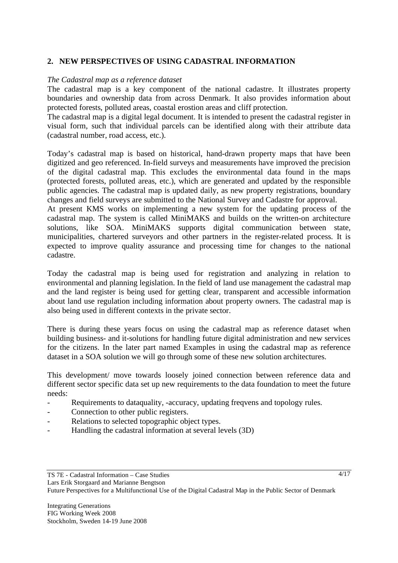## **2. NEW PERSPECTIVES OF USING CADASTRAL INFORMATION**

#### *The Cadastral map as a reference dataset*

The cadastral map is a key component of the national cadastre. It illustrates property boundaries and ownership data from across Denmark. It also provides information about protected forests, polluted areas, coastal erostion areas and cliff protection.

The cadastral map is a digital legal document. It is intended to present the cadastral register in visual form, such that individual parcels can be identified along with their attribute data (cadastral number, road access, etc.).

Today's cadastral map is based on historical, hand-drawn property maps that have been digitized and geo referenced. In-field surveys and measurements have improved the precision of the digital cadastral map. This excludes the environmental data found in the maps (protected forests, polluted areas, etc.), which are generated and updated by the responsible public agencies. The cadastral map is updated daily, as new property registrations, boundary changes and field surveys are submitted to the National Survey and Cadastre for approval.

At present KMS works on implementing a new system for the updating process of the cadastral map. The system is called MiniMAKS and builds on the written-on architecture solutions, like SOA. MiniMAKS supports digital communication between state, municipalities, chartered surveyors and other partners in the register-related process. It is expected to improve quality assurance and processing time for changes to the national cadastre.

Today the cadastral map is being used for registration and analyzing in relation to environmental and planning legislation. In the field of land use management the cadastral map and the land register is being used for getting clear, transparent and accessible information about land use regulation including information about property owners. The cadastral map is also being used in different contexts in the private sector.

There is during these years focus on using the cadastral map as reference dataset when building business- and it-solutions for handling future digital administration and new services for the citizens. In the later part named Examples in using the cadastral map as reference dataset in a SOA solution we will go through some of these new solution architectures.

This development/ move towards loosely joined connection between reference data and different sector specific data set up new requirements to the data foundation to meet the future needs:

- Requirements to dataquality, -accuracy, updating freqvens and topology rules.
- Connection to other public registers.
- Relations to selected topographic object types.
- Handling the cadastral information at several levels (3D)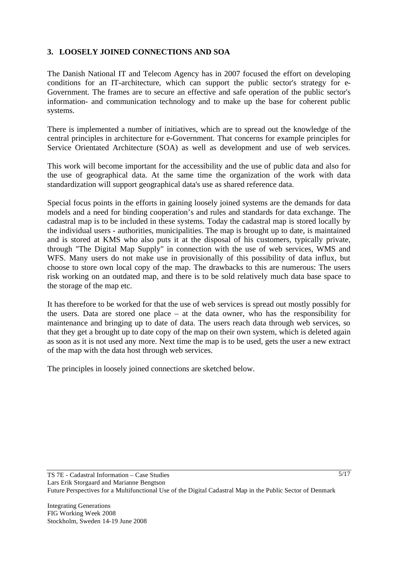# **3. LOOSELY JOINED CONNECTIONS AND SOA**

The Danish National IT and Telecom Agency has in 2007 focused the effort on developing conditions for an IT-architecture, which can support the public sector's strategy for e-Government. The frames are to secure an effective and safe operation of the public sector's information- and communication technology and to make up the base for coherent public systems.

There is implemented a number of initiatives, which are to spread out the knowledge of the central principles in architecture for e-Government. That concerns for example principles for Service Orientated Architecture (SOA) as well as development and use of web services.

This work will become important for the accessibility and the use of public data and also for the use of geographical data. At the same time the organization of the work with data standardization will support geographical data's use as shared reference data.

Special focus points in the efforts in gaining loosely joined systems are the demands for data models and a need for binding cooperation's and rules and standards for data exchange. The cadastral map is to be included in these systems. Today the cadastral map is stored locally by the individual users - authorities, municipalities. The map is brought up to date, is maintained and is stored at KMS who also puts it at the disposal of his customers, typically private, through "The Digital Map Supply" in connection with the use of web services, WMS and WFS. Many users do not make use in provisionally of this possibility of data influx, but choose to store own local copy of the map. The drawbacks to this are numerous: The users risk working on an outdated map, and there is to be sold relatively much data base space to the storage of the map etc.

It has therefore to be worked for that the use of web services is spread out mostly possibly for the users. Data are stored one place – at the data owner, who has the responsibility for maintenance and bringing up to date of data. The users reach data through web services, so that they get a brought up to date copy of the map on their own system, which is deleted again as soon as it is not used any more. Next time the map is to be used, gets the user a new extract of the map with the data host through web services.

The principles in loosely joined connections are sketched below.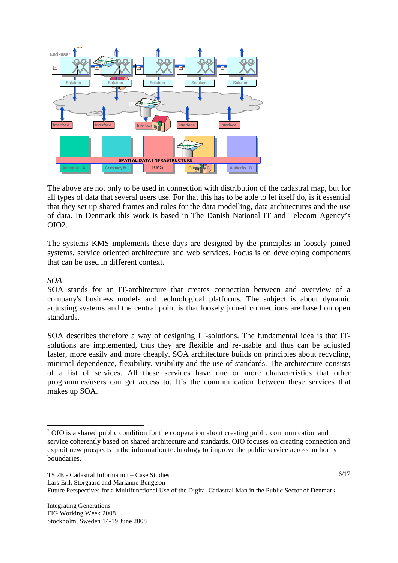

The above are not only to be used in connection with distribution of the cadastral map, but for all types of data that several users use. For that this has to be able to let itself do, is it essential that they set up shared frames and rules for the data modelling, data architectures and the use of data. In Denmark this work is based in The Danish National IT and Telecom Agency's  $OIO2$ .

The systems KMS implements these days are designed by the principles in loosely joined systems, service oriented architecture and web services. Focus is on developing components that can be used in different context.

*SOA* 

l

SOA stands for an IT-architecture that creates connection between and overview of a company's business models and technological platforms. The subject is about dynamic adjusting systems and the central point is that loosely joined connections are based on open standards.

SOA describes therefore a way of designing IT-solutions. The fundamental idea is that ITsolutions are implemented, thus they are flexible and re-usable and thus can be adjusted faster, more easily and more cheaply. SOA architecture builds on principles about recycling, minimal dependence, flexibility, visibility and the use of standards. The architecture consists of a list of services. All these services have one or more characteristics that other programmes/users can get access to. It's the communication between these services that makes up SOA.

<sup>&</sup>lt;sup>2</sup> OIO is a shared public condition for the cooperation about creating public communication and service coherently based on shared architecture and standards. OIO focuses on creating connection and exploit new prospects in the information technology to improve the public service across authority boundaries.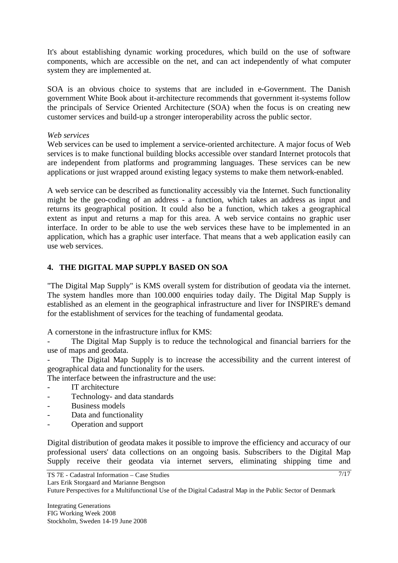It's about establishing dynamic working procedures, which build on the use of software components, which are accessible on the net, and can act independently of what computer system they are implemented at.

SOA is an obvious choice to systems that are included in e-Government. The Danish government White Book about it-architecture recommends that government it-systems follow the principals of Service Oriented Architecture (SOA) when the focus is on creating new customer services and build-up a stronger interoperability across the public sector.

#### *Web services*

Web services can be used to implement a service-oriented architecture. A major focus of Web services is to make functional building blocks accessible over standard Internet protocols that are independent from platforms and programming languages. These services can be new applications or just wrapped around existing legacy systems to make them network-enabled.

A web service can be described as functionality accessibly via the Internet. Such functionality might be the geo-coding of an address - a function, which takes an address as input and returns its geographical position. It could also be a function, which takes a geographical extent as input and returns a map for this area. A web service contains no graphic user interface. In order to be able to use the web services these have to be implemented in an application, which has a graphic user interface. That means that a web application easily can use web services.

# **4. THE DIGITAL MAP SUPPLY BASED ON SOA**

"The Digital Map Supply" is KMS overall system for distribution of geodata via the internet. The system handles more than 100.000 enquiries today daily. The Digital Map Supply is established as an element in the geographical infrastructure and liver for INSPIRE's demand for the establishment of services for the teaching of fundamental geodata.

A cornerstone in the infrastructure influx for KMS:

The Digital Map Supply is to reduce the technological and financial barriers for the use of maps and geodata.

The Digital Map Supply is to increase the accessibility and the current interest of geographical data and functionality for the users.

The interface between the infrastructure and the use:

- IT architecture
- Technology- and data standards
- Business models
- Data and functionality
- Operation and support

Digital distribution of geodata makes it possible to improve the efficiency and accuracy of our professional users' data collections on an ongoing basis. Subscribers to the Digital Map Supply receive their geodata via internet servers, eliminating shipping time and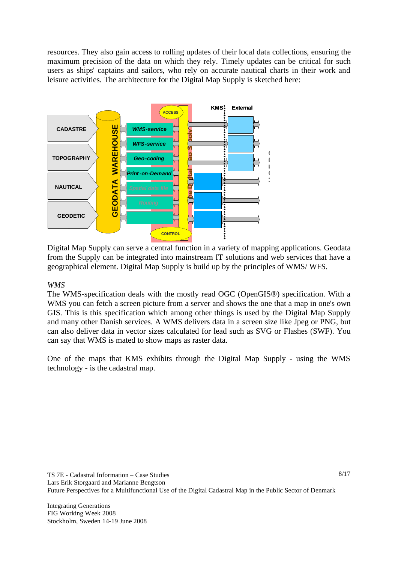resources. They also gain access to rolling updates of their local data collections, ensuring the maximum precision of the data on which they rely. Timely updates can be critical for such users as ships' captains and sailors, who rely on accurate nautical charts in their work and leisure activities. The architecture for the Digital Map Supply is sketched here:



Digital Map Supply can serve a central function in a variety of mapping applications. Geodata from the Supply can be integrated into mainstream IT solutions and web services that have a geographical element. Digital Map Supply is build up by the principles of WMS/ WFS.

## *WMS*

The WMS-specification deals with the mostly read OGC (OpenGIS®) specification. With a WMS you can fetch a screen picture from a server and shows the one that a map in one's own GIS. This is this specification which among other things is used by the Digital Map Supply and many other Danish services. A WMS delivers data in a screen size like Jpeg or PNG, but can also deliver data in vector sizes calculated for lead such as SVG or Flashes (SWF). You can say that WMS is mated to show maps as raster data.

One of the maps that KMS exhibits through the Digital Map Supply - using the WMS technology - is the cadastral map.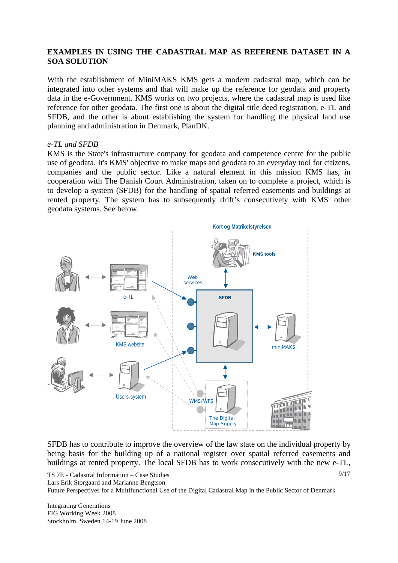#### **EXAMPLES IN USING THE CADASTRAL MAP AS REFERENE DATASET IN A SOA SOLUTION**

With the establishment of MiniMAKS KMS gets a modern cadastral map, which can be integrated into other systems and that will make up the reference for geodata and property data in the e-Government. KMS works on two projects, where the cadastral map is used like reference for other geodata. The first one is about the digital title deed registration, e-TL and SFDB, and the other is about establishing the system for handling the physical land use planning and administration in Denmark, PlanDK.

#### *e-TL and SFDB*

KMS is the State's infrastructure company for geodata and competence centre for the public use of geodata. It's KMS' objective to make maps and geodata to an everyday tool for citizens, companies and the public sector. Like a natural element in this mission KMS has, in cooperation with The Danish Court Administration, taken on to complete a project, which is to develop a system (SFDB) for the handling of spatial referred easements and buildings at rented property. The system has to subsequently drift's consecutively with KMS' other geodata systems. See below.



SFDB has to contribute to improve the overview of the law state on the individual property by being basis for the building up of a national register over spatial referred easements and buildings at rented property. The local SFDB has to work consecutively with the new e-TL,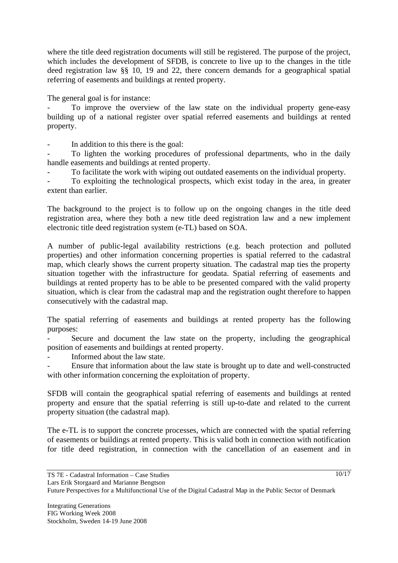where the title deed registration documents will still be registered. The purpose of the project, which includes the development of SFDB, is concrete to live up to the changes in the title deed registration law §§ 10, 19 and 22, there concern demands for a geographical spatial referring of easements and buildings at rented property.

The general goal is for instance:

To improve the overview of the law state on the individual property gene-easy building up of a national register over spatial referred easements and buildings at rented property.

- In addition to this there is the goal:

To lighten the working procedures of professional departments, who in the daily handle easements and buildings at rented property.

To facilitate the work with wiping out outdated easements on the individual property.

To exploiting the technological prospects, which exist today in the area, in greater extent than earlier.

The background to the project is to follow up on the ongoing changes in the title deed registration area, where they both a new title deed registration law and a new implement electronic title deed registration system (e-TL) based on SOA.

A number of public-legal availability restrictions (e.g. beach protection and polluted properties) and other information concerning properties is spatial referred to the cadastral map, which clearly shows the current property situation. The cadastral map ties the property situation together with the infrastructure for geodata. Spatial referring of easements and buildings at rented property has to be able to be presented compared with the valid property situation, which is clear from the cadastral map and the registration ought therefore to happen consecutively with the cadastral map.

The spatial referring of easements and buildings at rented property has the following purposes:

Secure and document the law state on the property, including the geographical position of easements and buildings at rented property.

Informed about the law state.

- Ensure that information about the law state is brought up to date and well-constructed with other information concerning the exploitation of property.

SFDB will contain the geographical spatial referring of easements and buildings at rented property and ensure that the spatial referring is still up-to-date and related to the current property situation (the cadastral map).

The e-TL is to support the concrete processes, which are connected with the spatial referring of easements or buildings at rented property. This is valid both in connection with notification for title deed registration, in connection with the cancellation of an easement and in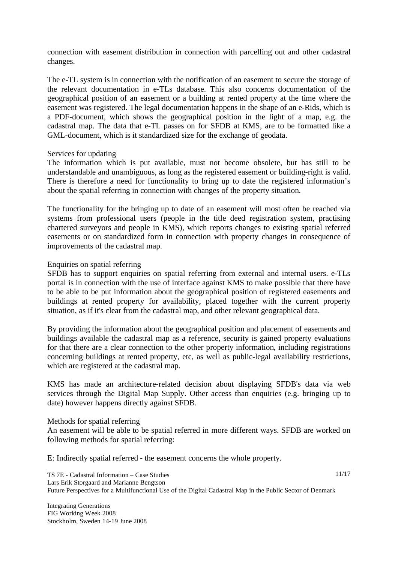connection with easement distribution in connection with parcelling out and other cadastral changes.

The e-TL system is in connection with the notification of an easement to secure the storage of the relevant documentation in e-TLs database. This also concerns documentation of the geographical position of an easement or a building at rented property at the time where the easement was registered. The legal documentation happens in the shape of an e-Rids, which is a PDF-document, which shows the geographical position in the light of a map, e.g. the cadastral map. The data that e-TL passes on for SFDB at KMS, are to be formatted like a GML-document, which is it standardized size for the exchange of geodata.

#### Services for updating

The information which is put available, must not become obsolete, but has still to be understandable and unambiguous, as long as the registered easement or building-right is valid. There is therefore a need for functionality to bring up to date the registered information's about the spatial referring in connection with changes of the property situation.

The functionality for the bringing up to date of an easement will most often be reached via systems from professional users (people in the title deed registration system, practising chartered surveyors and people in KMS), which reports changes to existing spatial referred easements or on standardized form in connection with property changes in consequence of improvements of the cadastral map.

## Enquiries on spatial referring

SFDB has to support enquiries on spatial referring from external and internal users. e-TLs portal is in connection with the use of interface against KMS to make possible that there have to be able to be put information about the geographical position of registered easements and buildings at rented property for availability, placed together with the current property situation, as if it's clear from the cadastral map, and other relevant geographical data.

By providing the information about the geographical position and placement of easements and buildings available the cadastral map as a reference, security is gained property evaluations for that there are a clear connection to the other property information, including registrations concerning buildings at rented property, etc, as well as public-legal availability restrictions, which are registered at the cadastral map.

KMS has made an architecture-related decision about displaying SFDB's data via web services through the Digital Map Supply. Other access than enquiries (e.g. bringing up to date) however happens directly against SFDB.

#### Methods for spatial referring

An easement will be able to be spatial referred in more different ways. SFDB are worked on following methods for spatial referring:

E: Indirectly spatial referred - the easement concerns the whole property.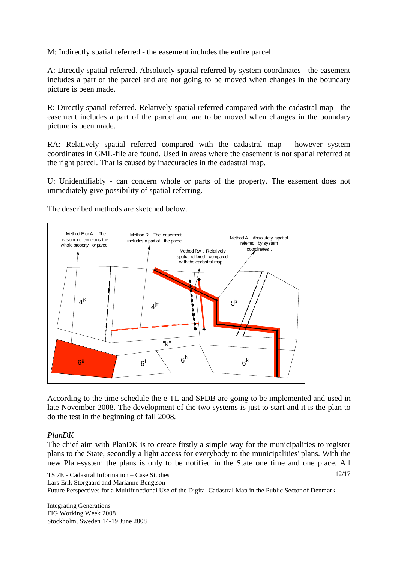M: Indirectly spatial referred - the easement includes the entire parcel.

A: Directly spatial referred. Absolutely spatial referred by system coordinates - the easement includes a part of the parcel and are not going to be moved when changes in the boundary picture is been made.

R: Directly spatial referred. Relatively spatial referred compared with the cadastral map - the easement includes a part of the parcel and are to be moved when changes in the boundary picture is been made.

RA: Relatively spatial referred compared with the cadastral map - however system coordinates in GML-file are found. Used in areas where the easement is not spatial referred at the right parcel. That is caused by inaccuracies in the cadastral map.

U: Unidentifiably - can concern whole or parts of the property. The easement does not immediately give possibility of spatial referring.

The described methods are sketched below.



According to the time schedule the e-TL and SFDB are going to be implemented and used in late November 2008. The development of the two systems is just to start and it is the plan to do the test in the beginning of fall 2008.

#### *PlanDK*

The chief aim with PlanDK is to create firstly a simple way for the municipalities to register plans to the State, secondly a light access for everybody to the municipalities' plans. With the new Plan-system the plans is only to be notified in the State one time and one place. All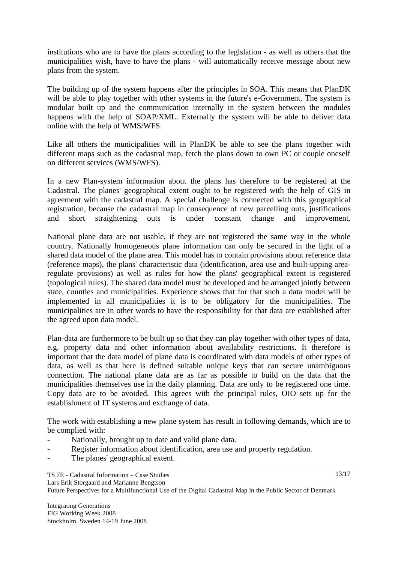institutions who are to have the plans according to the legislation - as well as others that the municipalities wish, have to have the plans - will automatically receive message about new plans from the system.

The building up of the system happens after the principles in SOA. This means that PlanDK will be able to play together with other systems in the future's e-Government. The system is modular built up and the communication internally in the system between the modules happens with the help of SOAP/XML. Externally the system will be able to deliver data online with the help of WMS/WFS.

Like all others the municipalities will in PlanDK be able to see the plans together with different maps such as the cadastral map, fetch the plans down to own PC or couple oneself on different services (WMS/WFS).

In a new Plan-system information about the plans has therefore to be registered at the Cadastral. The planes' geographical extent ought to be registered with the help of GIS in agreement with the cadastral map. A special challenge is connected with this geographical registration, because the cadastral map in consequence of new parcelling outs, justifications and short straightening outs is under constant change and improvement.

National plane data are not usable, if they are not registered the same way in the whole country. Nationally homogeneous plane information can only be secured in the light of a shared data model of the plane area. This model has to contain provisions about reference data (reference maps), the plans' characteristic data (identification, area use and built-upping arearegulate provisions) as well as rules for how the plans' geographical extent is registered (topological rules). The shared data model must be developed and be arranged jointly between state, counties and municipalities. Experience shows that for that such a data model will be implemented in all municipalities it is to be obligatory for the municipalities. The municipalities are in other words to have the responsibility for that data are established after the agreed upon data model.

Plan-data are furthermore to be built up so that they can play together with other types of data, e.g. property data and other information about availability restrictions. It therefore is important that the data model of plane data is coordinated with data models of other types of data, as well as that here is defined suitable unique keys that can secure unambiguous connection. The national plane data are as far as possible to build on the data that the municipalities themselves use in the daily planning. Data are only to be registered one time. Copy data are to be avoided. This agrees with the principal rules, OIO sets up for the establishment of IT systems and exchange of data.

The work with establishing a new plane system has result in following demands, which are to be complied with:

- Nationally, brought up to date and valid plane data.
- Register information about identification, area use and property regulation.
- The planes' geographical extent.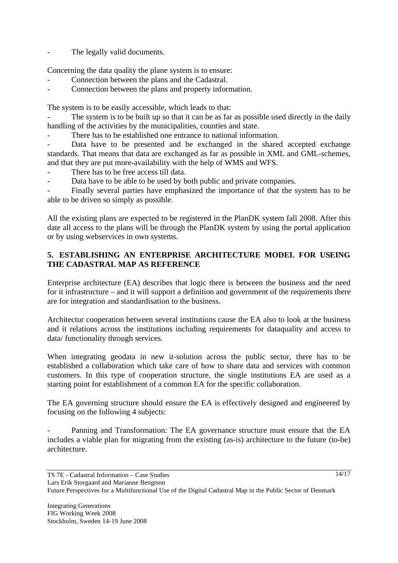The legally valid documents.

Concerning the data quality the plane system is to ensure:

- Connection between the plans and the Cadastral.
- Connection between the plans and property information.

The system is to be easily accessible, which leads to that:

The system is to be built up so that it can be as far as possible used directly in the daily handling of the activities by the municipalities, counties and state.

There has to be established one entrance to national information.

Data have to be presented and be exchanged in the shared accepted exchange standards. That means that data are exchanged as far as possible in XML and GML-schemes, and that they are put more-availability with the help of WMS and WFS.

- There has to be free access till data.
- Data have to be able to be used by both public and private companies.

Finally several parties have emphasized the importance of that the system has to be able to be driven so simply as possible.

All the existing plans are expected to be registered in the PlanDK system fall 2008. After this date all access to the plans will be through the PlanDK system by using the portal application or by using webservices in own systems.

# **5. ESTABLISHING AN ENTERPRISE ARCHITECTURE MODEL FOR USEING THE CADASTRAL MAP AS REFERENCE**

Enterprise architecture (EA) describes that logic there is between the business and the need for it infrastructure – and it will support a definition and government of the requirements there are for integration and standardisation to the business.

Architectur cooperation between several institutions cause the EA also to look at the business and it relations across the institutions including requirements for dataquality and access to data/ functionality through services.

When integrating geodata in new it-solution across the public sector, there has to be established a collaboration which take care of how to share data and services with common customers. In this type of cooperation structure, the single institutions EA are used as a starting point for establishment of a common EA for the specific collaboration.

The EA governing structure should ensure the EA is effectively designed and engineered by focusing on the following 4 subjects:

Panning and Transformation: The EA governance structure must ensure that the EA includes a viable plan for migrating from the existing (as-is) architecture to the future (to-be) architecture.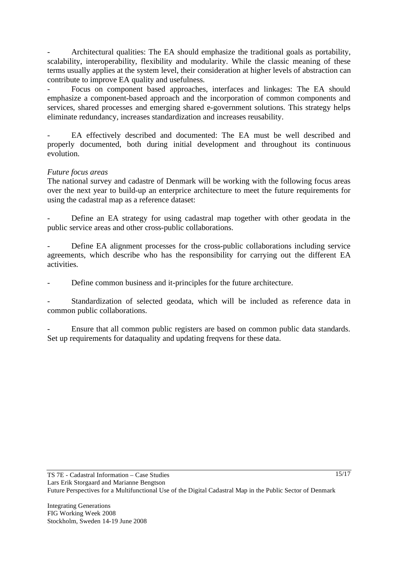Architectural qualities: The EA should emphasize the traditional goals as portability, scalability, interoperability, flexibility and modularity. While the classic meaning of these terms usually applies at the system level, their consideration at higher levels of abstraction can contribute to improve EA quality and usefulness.

- Focus on component based approaches, interfaces and linkages: The EA should emphasize a component-based approach and the incorporation of common components and services, shared processes and emerging shared e-government solutions. This strategy helps eliminate redundancy, increases standardization and increases reusability.

- EA effectively described and documented: The EA must be well described and properly documented, both during initial development and throughout its continuous evolution.

#### *Future focus areas*

The national survey and cadastre of Denmark will be working with the following focus areas over the next year to build-up an enterprice architecture to meet the future requirements for using the cadastral map as a reference dataset:

Define an EA strategy for using cadastral map together with other geodata in the public service areas and other cross-public collaborations.

Define EA alignment processes for the cross-public collaborations including service agreements, which describe who has the responsibility for carrying out the different EA activities.

Define common business and it-principles for the future architecture.

Standardization of selected geodata, which will be included as reference data in common public collaborations.

Ensure that all common public registers are based on common public data standards. Set up requirements for dataquality and updating freqvens for these data.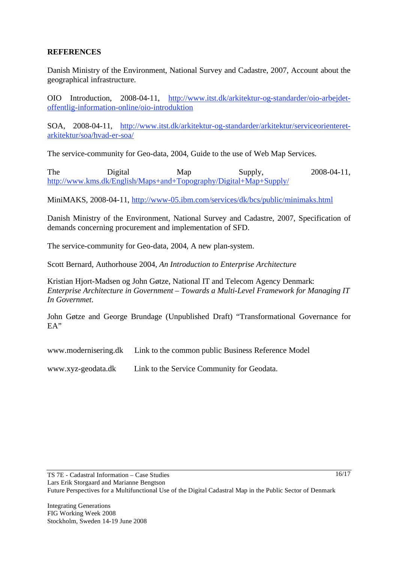## **REFERENCES**

Danish Ministry of the Environment, National Survey and Cadastre, 2007, Account about the geographical infrastructure.

OIO Introduction, 2008-04-11, http://www.itst.dk/arkitektur-og-standarder/oio-arbejdetoffentlig-information-online/oio-introduktion

SOA, 2008-04-11, http://www.itst.dk/arkitektur-og-standarder/arkitektur/serviceorienteretarkitektur/soa/hvad-er-soa/

The service-community for Geo-data, 2004, Guide to the use of Web Map Services.

The Digital Map Supply, 2008-04-11, http://www.kms.dk/English/Maps+and+Topography/Digital+Map+Supply/

MiniMAKS, 2008-04-11, http://www-05.ibm.com/services/dk/bcs/public/minimaks.html

Danish Ministry of the Environment, National Survey and Cadastre, 2007, Specification of demands concerning procurement and implementation of SFD.

The service-community for Geo-data, 2004, A new plan-system.

Scott Bernard, Authorhouse 2004, *An Introduction to Enterprise Architecture*

Kristian Hjort-Madsen og John Gøtze, National IT and Telecom Agency Denmark: *Enterprise Architecture in Government – Towards a Multi-Level Framework for Managing IT In Governmet*.

John Gøtze and George Brundage (Unpublished Draft) "Transformational Governance for EA"

www.modernisering.dk Link to the common public Business Reference Model

www.xyz-geodata.dk Link to the Service Community for Geodata.